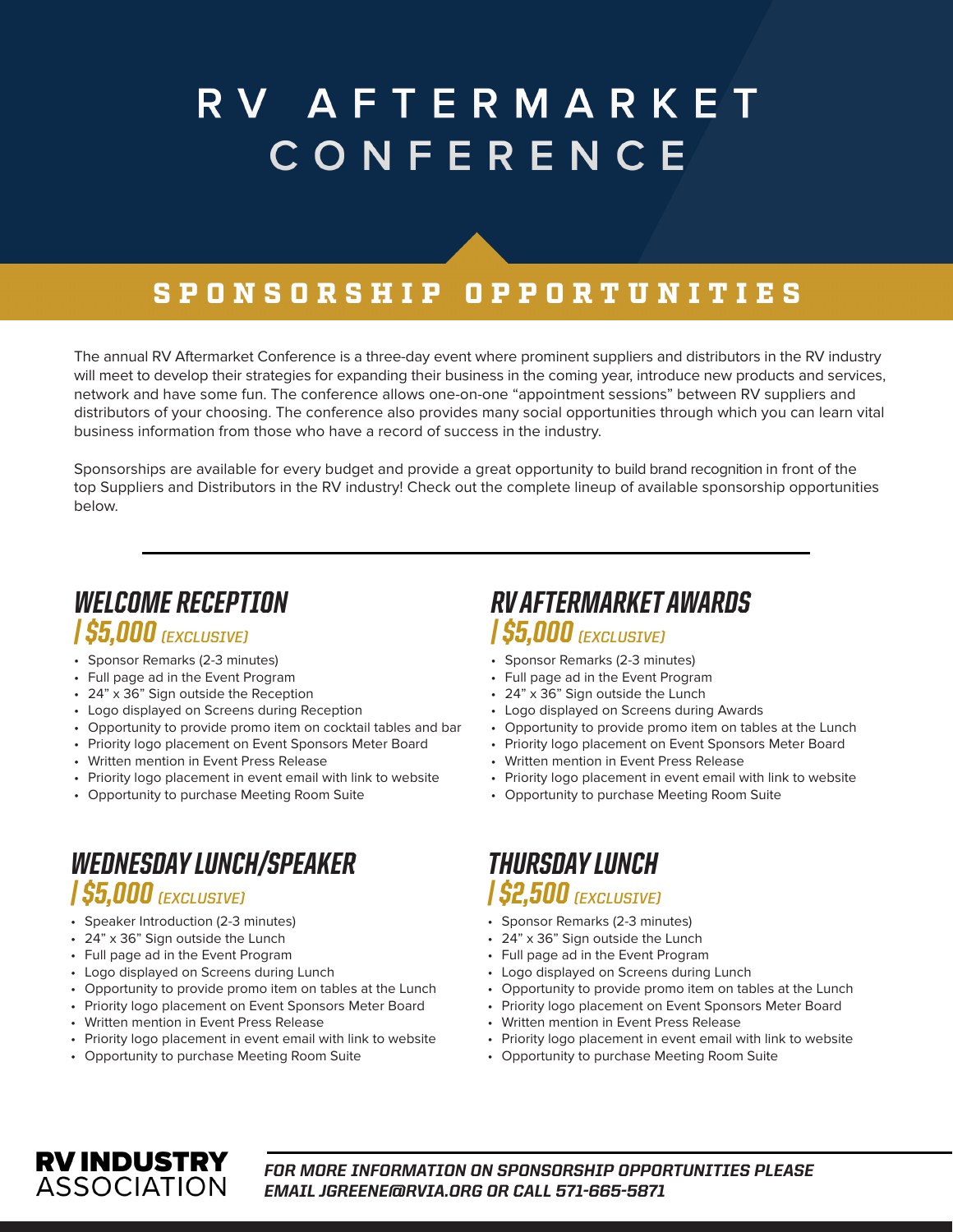# RV AFTERMARKET CONFERENCE

### SPONSORSHIP OPPORTUNITIES

The annual RV Aftermarket Conference is a three-day event where prominent suppliers and distributors in the RV industry will meet to develop their strategies for expanding their business in the coming year, introduce new products and services, network and have some fun. The conference allows one-on-one "appointment sessions" between RV suppliers and distributors of your choosing. The conference also provides many social opportunities through which you can learn vital business information from those who have a record of success in the industry.

Sponsorships are available for every budget and provide a great opportunity to build brand recognition in front of the top Suppliers and Distributors in the RV industry! Check out the complete lineup of available sponsorship opportunities below.

#### *WELCOME RECEPTION | \$5,000 (EXCLUSIVE)*

- Sponsor Remarks (2-3 minutes)
- Full page ad in the Event Program
- 24" x 36" Sign outside the Reception
- Logo displayed on Screens during Reception
- Opportunity to provide promo item on cocktail tables and bar
- Priority logo placement on Event Sponsors Meter Board
- Written mention in Event Press Release
- Priority logo placement in event email with link to website
- Opportunity to purchase Meeting Room Suite

#### *WEDNESDAY LUNCH/SPEAKER | \$5,000 (EXCLUSIVE)*

- Speaker Introduction (2-3 minutes)
- 24" x 36" Sign outside the Lunch
- Full page ad in the Event Program
- Logo displayed on Screens during Lunch
- Opportunity to provide promo item on tables at the Lunch
- Priority logo placement on Event Sponsors Meter Board
- Written mention in Event Press Release
- Priority logo placement in event email with link to website
- Opportunity to purchase Meeting Room Suite

#### *RV AFTERMARKET AWARDS | \$5,000 (EXCLUSIVE)*

- Sponsor Remarks (2-3 minutes)
- Full page ad in the Event Program
- 24" x 36" Sign outside the Lunch
- Logo displayed on Screens during Awards
- Opportunity to provide promo item on tables at the Lunch
- Priority logo placement on Event Sponsors Meter Board
- Written mention in Event Press Release
- Priority logo placement in event email with link to website
- Opportunity to purchase Meeting Room Suite

#### *THURSDAY LUNCH | \$2,500 (EXCLUSIVE)*

- Sponsor Remarks (2-3 minutes)
- 24" x 36" Sign outside the Lunch
- Full page ad in the Event Program
- Logo displayed on Screens during Lunch
- Opportunity to provide promo item on tables at the Lunch
- Priority logo placement on Event Sponsors Meter Board
- Written mention in Event Press Release
	- Priority logo placement in event email with link to website
- Opportunity to purchase Meeting Room Suite



*FOR MORE INFORMATION ON SPONSORSHIP OPPORTUNITIES PLEASE EMAIL JGREENE@RVIA.ORG OR CALL 571-665-5871*